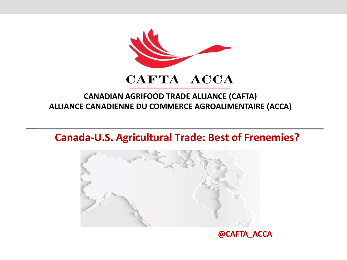

#### **CANADIAN AGRIFOOD TRADE ALLIANCE (CAFTA) ALLIANCE CANADIENNE DU COMMERCE AGROALIMENTAIRE (ACCA)**

#### **Canada-U.S. Agricultural Trade: Best of Frenemies?**



#### **@CAFTA\_ACCA**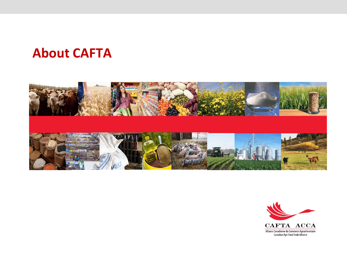#### **About CAFTA**



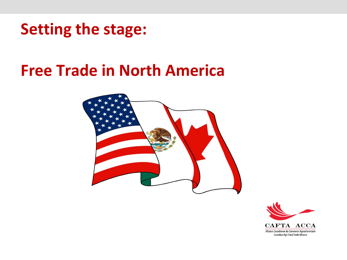### **Setting the stage:**

## **Free Trade in North America**



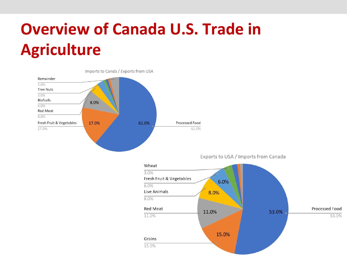# **Overview of Canada U.S. Trade in Agriculture**



Exports to USA / Imports from Canada

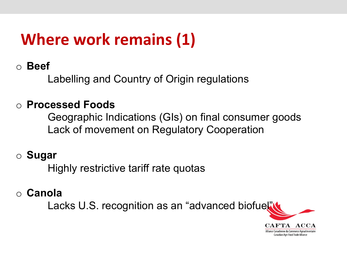# **Where work remains (1)**

#### o **Beef**

Labelling and Country of Origin regulations

#### o **Processed Foods**

Geographic Indications (GIs) on final consumer goods Lack of movement on Regulatory Cooperation

#### o **Sugar**

Highly restrictive tariff rate quotas

#### o **Canola**

Lacks U.S. recognition as an "advanced biofuel"

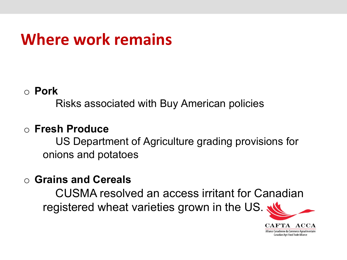## **Where work remains**

#### o **Pork**

Risks associated with Buy American policies

#### o **Fresh Produce**

US Department of Agriculture grading provisions for onions and potatoes

#### o **Grains and Cereals**

CUSMA resolved an access irritant for Canadian registered wheat varieties grown in the US.

> CAFTA ACCA Alliance Canadienne du Commerce Agroalimentaire **Canadian Agri-Food Trade Alliance**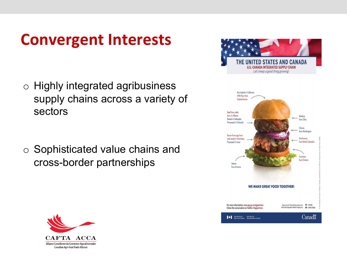## **Convergent Interests**

o Highly integrated agribusiness supply chains across a variety of sectors

o Sophisticated value chains and cross-border partnerships



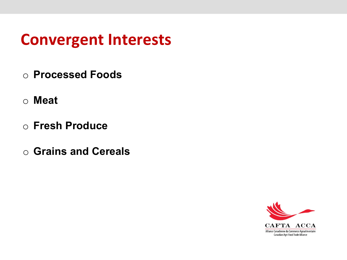### **Convergent Interests**

- o **Processed Foods**
- o **Meat**
- o **Fresh Produce**
- o **Grains and Cereals**

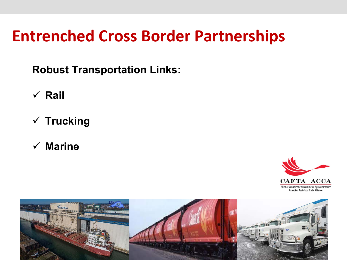## **Entrenched Cross Border Partnerships**

**Robust Transportation Links:**

- ü **Rail**
- ü **Trucking**
- ü **Marine**



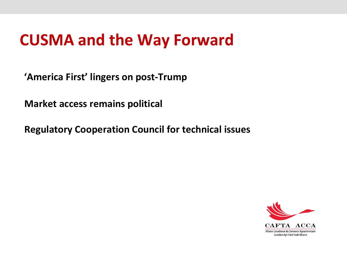## **CUSMA and the Way Forward**

**'America First' lingers on post-Trump**

**Market access remains political**

**Regulatory Cooperation Council for technical issues**

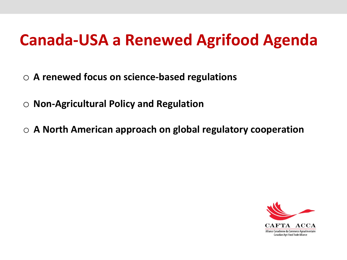# **Canada-USA a Renewed Agrifood Agenda**

- o **A renewed focus on science-based regulations**
- o **Non-Agricultural Policy and Regulation**
- o **A North American approach on global regulatory cooperation**